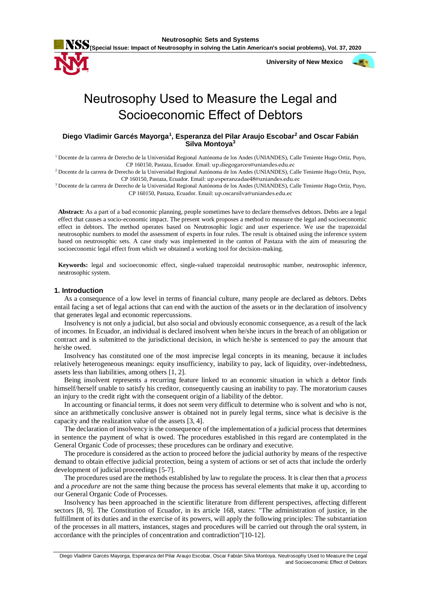

 **University of New Mexico**



# Neutrosophy Used to Measure the Legal and Socioeconomic Effect of Debtors

# **Diego Vladimir Garcés Mayorga<sup>1</sup> , Esperanza del Pilar Araujo Escobar<sup>2</sup> and Oscar Fabián Silva Montoya<sup>3</sup>**

<sup>1</sup> Docente de la carrera de Derecho de la Universidad Regional Autónoma de los Andes (UNIANDES), Calle Teniente Hugo Ortiz, Puyo, CP 160150, Pastaza, Ecuador. Email: up.diegogarces@uniandes.edu.ec

<sup>2</sup> Docente de la carrera de Derecho de la Universidad Regional Autónoma de los Andes (UNIANDES), Calle Teniente Hugo Ortiz, Puyo, CP 160150, Pastaza, Ecuador. Email: up.esperanzadae48@uniandes.edu.ec

<sup>3</sup> Docente de la carrera de Derecho de la Universidad Regional Autónoma de los Andes (UNIANDES), Calle Teniente Hugo Ortiz, Puyo, CP 160150, Pastaza, Ecuador. Email: up.oscarsilva@uniandes.edu.ec

**Abstract:** As a part of a bad economic planning, people sometimes have to declare themselves debtors. Debts are a legal effect that causes a socio-economic impact. The present work proposes a method to measure the legal and socioeconomic effect in debtors. The method operates based on Neutrosophic logic and user experience. We use the trapezoidal neutrosophic numbers to model the assessment of experts in four rules. The result is obtained using the inference system based on neutrosophic sets. A case study was implemented in the canton of Pastaza with the aim of measuring the socioeconomic legal effect from which we obtained a working tool for decision-making.

**Keywords:** legal and socioeconomic effect, single-valued trapezoidal neutrosophic number, neutrosophic inference, neutrosophic system.

## **1. Introduction**

As a consequence of a low level in terms of financial culture, many people are declared as debtors. Debts entail facing a set of legal actions that can end with the auction of the assets or in the declaration of insolvency that generates legal and economic repercussions.

Insolvency is not only a judicial, but also social and obviously economic consequence, as a result of the lack of incomes. In Ecuador, an individual is declared insolvent when he/she incurs in the breach of an obligation or contract and is submitted to the jurisdictional decision, in which he/she is sentenced to pay the amount that he/she owed.

Insolvency has constituted one of the most imprecise legal concepts in its meaning, because it includes relatively heterogeneous meanings: equity insufficiency, inability to pay, lack of liquidity, over-indebtedness, assets less than liabilities, among others [\[1,](#page-5-0) [2\]](#page-5-1).

Being insolvent represents a recurring feature linked to an economic situation in which a debtor finds himself/herself unable to satisfy his creditor, consequently causing an inability to pay. The moratorium causes an injury to the credit right with the consequent origin of a liability of the debtor.

In accounting or financial terms, it does not seem very difficult to determine who is solvent and who is not, since an arithmetically conclusive answer is obtained not in purely legal terms, since what is decisive is the capacity and the realization value of the assets [\[3,](#page-5-2) [4\]](#page-5-3).

The declaration of insolvency is the consequence of the implementation of a judicial process that determines in sentence the payment of what is owed. The procedures established in this regard are contemplated in the General Organic Code of processes; these procedures can be ordinary and executive.

The procedure is considered as the action to proceed before the judicial authority by means of the respective demand to obtain effective judicial protection, being a system of actions or set of acts that include the orderly development of judicial proceedings [\[5-7\]](#page-5-4).

The procedures used are the methods established by law to regulate the process. It is clear then that a *process* and a *procedure* are not the same thing because the process has several elements that make it up, according to our General Organic Code of Processes.

Insolvency has been approached in the scientific literature from different perspectives, affecting different sectors [\[8,](#page-6-0) [9\]](#page-6-1). The Constitution of Ecuador, in its article 168, states: "The administration of justice, in the fulfillment of its duties and in the exercise of its powers, will apply the following principles: The substantiation of the processes in all matters, instances, stages and procedures will be carried out through the oral system, in accordance with the principles of concentration and contradiction"[\[10-12\]](#page-6-2).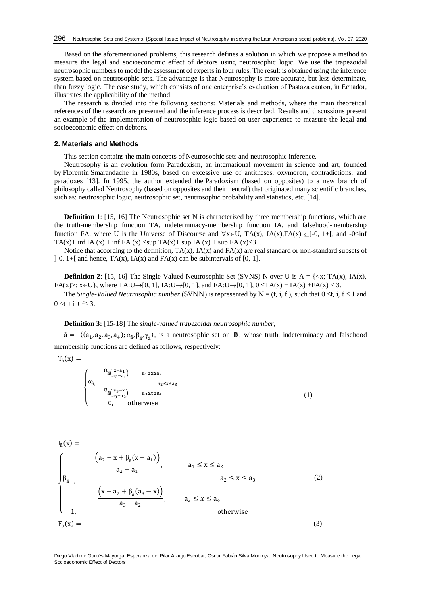Based on the aforementioned problems, this research defines a solution in which we propose a method to measure the legal and socioeconomic effect of debtors using neutrosophic logic. We use the trapezoidal neutrosophic numbers to model the assessment of experts in four rules. The result is obtained using the inference system based on neutrosophic sets. The advantage is that Neutrosophy is more accurate, but less determinate, than fuzzy logic. The case study, which consists of one enterprise's evaluation of Pastaza canton, in Ecuador, illustrates the applicability of the method.

The research is divided into the following sections: Materials and methods, where the main theoretical references of the research are presented and the inference process is described. Results and discussions present an example of the implementation of neutrosophic logic based on user experience to measure the legal and socioeconomic effect on debtors.

## **2. Materials and Methods**

This section contains the main concepts of Neutrosophic sets and neutrosophic inference.

Neutrosophy is an evolution form Paradoxism, an international movement in science and art, founded by Florentin Smarandache in 1980s, based on excessive use of antitheses, oxymoron, contradictions, and paradoxes [\[13\]](#page-6-3). In 1995, the author extended the Paradoxism (based on opposites) to a new branch of philosophy called Neutrosophy (based on opposites and their neutral) that originated many scientific branches, such as: neutrosophic logic, neutrosophic set, neutrosophic probability and statistics, etc. [\[14\]](#page-6-4).

**Definition 1**: [\[15,](#page-6-5) [16\]](#page-6-6) The Neutrosophic set N is characterized by three membership functions, which are the truth-membership function TA, indeterminacy-membership function IA, and falsehood-membership function FA, where U is the Universe of Discourse and  $\forall x \in U$ , TA(x), IA(x), FA(x)  $\subseteq$  ]-0, 1+[, and -0 $\le$ inf TA(x)+ inf IA (x) + inf FA (x)  $\leq$ sup TA(x)+ sup IA (x) + sup FA (x) $\leq$ 3+.

Notice that according to the definition,  $TA(x)$ ,  $IA(x)$  and  $FA(x)$  are real standard or non-standard subsets of ]-0, 1+[ and hence,  $TA(x)$ ,  $IA(x)$  and  $FA(x)$  can be subintervals of [0, 1].

**Definition 2**: [\[15,](#page-6-5) [16\]](#page-6-6) The Single-Valued Neutrosophic Set (SVNS) N over U is  $A = \{ \langle x, TA(x), IA(x), \rangle\}$  $FA(x) >: x \in U$ , where  $TA:U \rightarrow [0, 1]$ ,  $IA:U \rightarrow [0, 1]$ , and  $FA:U \rightarrow [0, 1]$ ,  $0 \le TA(x) + IA(x) + FA(x) \le 3$ .

The *Single-Valued Neutrosophic number* (SVNN) is represented by  $N = (t, i, f)$ , such that  $0 \le t$ , i,  $f \le 1$  and  $0 \le t + i + f \le 3.$ 

#### **Definition 3:** [\[15-18\]](#page-6-5) The *single-valued trapezoidal neutrosophic number*,

 $\tilde{a} = \langle (a_1, a_2, a_3, a_4), a_{\tilde{a}}, \beta_{\tilde{a}}, \gamma_{\tilde{a}} \rangle$ , is a neutrosophic set on ℝ, whose truth, indeterminacy and falsehood membership functions are defined as follows, respectively:

 $T_{\tilde{a}}(x) =$ 

 $\overline{\mathcal{L}}$  $\mathbf{I}$  $\vert$  $\alpha_{\tilde{a}(\frac{x-a_1}{a_2-a_1})}$ ,  $a_1 \le x \le a_2$  $\alpha_{\tilde{a}}$ , a<sub>2</sub>≤x≤a<sub>3</sub>  $\alpha_{\tilde{a}(\frac{a_3-x}{a_3-a_2})}$ ,  $a_3 \leq x \leq a_4$ 0, otherwise (1)

$$
I_{\tilde{a}}(x) = \frac{(a_2 - x + \beta_{\tilde{a}}(x - a_1))}{a_2 - a_1}, \qquad a_1 \le x \le a_2
$$
  

$$
\beta_{\tilde{a}} , \qquad a_2 \le x \le a_3
$$
  

$$
\frac{(x - a_2 + \beta_{\tilde{a}}(a_3 - x))}{a_3 - a_2}, \qquad a_3 \le x \le a_4
$$
  

$$
I_{\tilde{a}}(x) = \qquad (3)
$$

Diego Vladimir Garcés Mayorga, Esperanza del Pilar Araujo Escobar, Oscar Fabián Silva Montoya. Neutrosophy Used to Measure the Legal Socioeconomic Effect of Debtors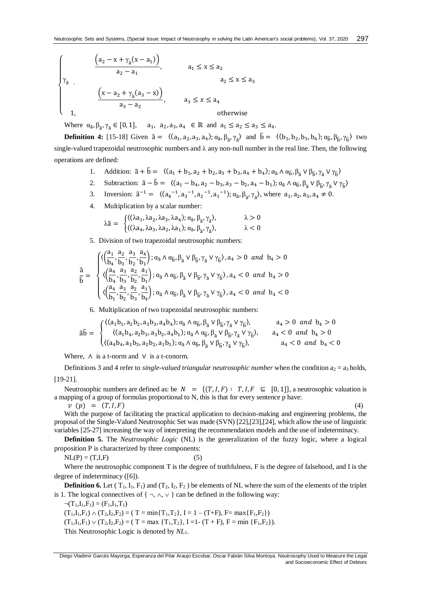$$
\begin{cases}\n\begin{cases}\n\frac{\left(a_{2}-x+\gamma_{\tilde{a}}(x-a_{1})\right)}{a_{2}-a_{1}}, & a_{1} \leq x \leq a_{2} \\
a_{2} & a_{2} \leq x \leq a_{3}\n\end{cases} \\
\frac{\left(x-a_{2}+\gamma_{\tilde{a}}(a_{3}-x)\right)}{a_{3}-a_{2}}, & a_{3} \leq x \leq a_{4} \\
1, & \text{otherwise}\n\end{cases}
$$

Where  $\alpha_{\tilde{a}}, \beta_{\tilde{a}}, \gamma_{\tilde{a}} \in [0, 1], \quad a_1, a_2, a_3, a_4 \in \mathbb{R}$  and  $a_1 \le a_2 \le a_3 \le a_4$ .

**Definition 4:** [\[15-18\]](#page-6-5) Given  $\tilde{a} = \langle (a_1, a_2, a_3, a_4); \alpha_{\tilde{a}}, \beta_{\tilde{a}}, \gamma_{\tilde{a}} \rangle$  and  $\tilde{b} = \langle (b_1, b_2, b_3, b_4); \alpha_{\tilde{b}}, \beta_{\tilde{b}}, \gamma_{\tilde{b}} \rangle$  two single-valued trapezoidal neutrosophic numbers and  $\lambda$  any non-null number in the real line. Then, the following operations are defined:

- 1. Addition:  $\tilde{a} + \tilde{b} = \langle (a_1 + b_1, a_2 + b_2, a_3 + b_3, a_4 + b_4); a_{\tilde{a}} \wedge a_{\tilde{b}}, \beta_{\tilde{a}} \vee \beta_{\tilde{b}}, \gamma_{\tilde{a}} \vee \gamma_{\tilde{b}} \rangle$
- 2. Subtraction:  $\tilde{a} \tilde{b} = \langle (a_1 b_4, a_2 b_3, a_3 b_2, a_4 b_1) ; \alpha_{\tilde{a}} \wedge \alpha_{\tilde{b}}, \beta_{\tilde{a}} \vee \beta_{\tilde{b}}, \gamma_{\tilde{a}} \vee \gamma_{\tilde{b}} \rangle$
- 3. Inversion:  $\tilde{a}^{-1} = \langle (a_4^{-1}, a_3^{-1}, a_2^{-1}, a_1^{-1}) ; \alpha_{\tilde{a}}, \beta_{\tilde{a}}, \gamma_{\tilde{a}} \rangle$ , where  $a_1, a_2, a_3, a_4 \neq 0$ .
- 4. Multiplication by a scalar number:

$$
\lambda \tilde{a} = \begin{cases}\n((\lambda a_1, \lambda a_2, \lambda a_3, \lambda a_4); \alpha_{\tilde{a}}, \beta_{\tilde{a}}, \gamma_{\tilde{a}}), & \lambda > 0 \\
((\lambda a_4, \lambda a_3, \lambda a_2, \lambda a_1); \alpha_{\tilde{a}}, \beta_{\tilde{a}}, \gamma_{\tilde{a}}), & \lambda < 0\n\end{cases}
$$

5. Division of two trapezoidal neutrosophic numbers:

$$
\frac{\tilde{a}}{\tilde{b}}=\sqrt{\langle\!\!\!\begin{array}{l} \big\langle \Big(\frac{a_1}{b_4},\frac{a_2}{b_3},\frac{a_3}{b_2},\frac{a_4}{b_1}\Big);\alpha_{\tilde{a}}\wedge\alpha_{\tilde{b}},\beta_{\tilde{a}}\vee\beta_{\tilde{b}},\gamma_{\tilde{a}}\vee\gamma_{\tilde{b}}\rangle,a_4>0\ \text{ and }b_4>0\\\langle\Big(\frac{a_4}{b_4},\frac{a_3}{b_3},\frac{a_2}{b_2},\frac{a_1}{b_1}\Big);\alpha_{\tilde{a}}\wedge\alpha_{\tilde{b}},\beta_{\tilde{a}}\vee\beta_{\tilde{b}},\gamma_{\tilde{a}}\vee\gamma_{\tilde{b}}\rangle,a_4<0\ \text{ and }b_4>0\\\langle\Big(\frac{a_4}{b_1},\frac{a_3}{b_2},\frac{a_2}{b_3},\frac{a_1}{b_4}\Big);\alpha_{\tilde{a}}\wedge\alpha_{\tilde{b}},\beta_{\tilde{a}}\vee\beta_{\tilde{b}},\gamma_{\tilde{a}}\vee\gamma_{\tilde{b}}\rangle,a_4<0\ \text{ and }b_4<0\end{array}
$$

6. Multiplication of two trapezoidal neutrosophic numbers:

$$
\tilde{a}\tilde{b} = \begin{cases} \langle (a_1b_1, a_2b_2, a_3b_3, a_4b_4); a_{\tilde{a}} \wedge a_{\tilde{b}}, \beta_{\tilde{a}} \vee \beta_{\tilde{b}}, \gamma_{\tilde{a}} \vee \gamma_{\tilde{b}} \rangle, & a_4 > 0 \text{ and } b_4 > 0 \\ \langle (a_1b_4, a_2b_3, a_3b_2, a_4b_1); a_{\tilde{a}} \wedge a_{\tilde{b}}, \beta_{\tilde{a}} \vee \beta_{\tilde{b}}, \gamma_{\tilde{a}} \vee \gamma_{\tilde{b}} \rangle, & a_4 < 0 \text{ and } b_4 > 0 \\ \langle (a_4b_4, a_3b_3, a_2b_2, a_1b_1); a_{\tilde{a}} \wedge a_{\tilde{b}}, \beta_{\tilde{a}} \vee \beta_{\tilde{b}}, \gamma_{\tilde{a}} \vee \gamma_{\tilde{b}} \rangle, & a_4 < 0 \text{ and } b_4 < 0 \end{cases}
$$

Where,  $\Lambda$  is a t-norm and  $V$  is a t-conorm.

Definitions 3 and 4 refer to *single-valued triangular neutrosophic number* when the condition  $a_2 = a_3$  holds, [\[19-21\]](#page-6-7).

Neutrosophic numbers are defined as: be  $N = \{(T, I, F) : T, I, F \subseteq [0, 1]\}$ , a neutrosophic valuation is a mapping of a group of formulas proportional to N, this is that for every sentence p have:

 $v(p) = (T, I, F)$  (4)

With the purpose of facilitating the practical application to decision-making and engineering problems, the proposal of the Single-Valued Neutrosophic Set was made (SVN) [\[22\]](#page-6-8),[\[23\]](#page-6-9),[\[24\]](#page-6-10), which allow the use of linguistic variables [\[25-27\]](#page-6-11) increasing the way of interpreting the recommendation models and the use of indeterminacy*.*

**Definition 5.** The *Neutrosophic Logic* (NL) is the generalization of the fuzzy logic, where a logical proposition P is characterized by three components:

 $NL(P) = (T,I,F)$  (5)

Where the neutrosophic component T is the degree of truthfulness, F is the degree of falsehood, and I is the degree of indeterminacy ([6]).

**Definition 6.** Let  $(T_1, I_1, F_1)$  and  $(T_2, I_2, F_2)$  be elements of NL where the sum of the elements of the triplet is 1. The logical connectives of  $\{\neg, \wedge, \vee\}$  can be defined in the following way:

 $\neg(T_1,I_1,F_1) = (F_1,I_1,T_1)$  $(T_1,I_1,F_1) \wedge (T_2,I_2,F_2) = (T = min{T_1,T_2}, I = 1 - (T+F), F = max{F_1,F_2})$  $(T_1,I_1,F_1) \vee (T_2,I_2,F_2) = (T = \max \{T_1,T_2\}, I =1-(T + F), F = \min \{F_1,F_2\}).$ This Neutrosophic Logic is denoted by *NL1*.

Diego Vladimir Garcés Mayorga, Esperanza del Pilar Araujo Escobar, Oscar Fabián Silva Montoya. Neutrosophy Used to Measure the Legal and Socioeconomic Effect of Debtors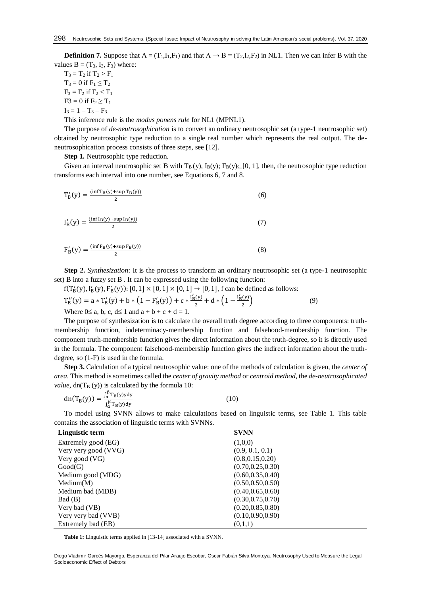**Definition 7.** Suppose that  $A = (T_1, I_1, F_1)$  and that  $A \rightarrow B = (T_2, I_2, F_2)$  in NL1. Then we can infer B with the values  $B = (T_3, I_3, F_3)$  where:

 $T_3 = T_2$  if  $T_2 > F_1$  $T_3 = 0$  if  $F_1 \le T_2$  $F_3 = F_2$  if  $F_2 < T_1$  $F3 = 0$  if  $F_2 \ge T_1$  $I_3 = 1 - T_3 - F_3$ .

This inference rule is the *modus ponens rule* for NL1 (MPNL1).

The purpose of *de-neutrosophication* is to convert an ordinary neutrosophic set (a type-1 neutrosophic set) obtained by neutrosophic type reduction to a single real number which represents the real output. The deneutrosophication process consists of three steps, see [12].

**Step 1.** Neutrosophic type reduction.

Given an interval neutrosophic set B with  $T_B(y)$ ,  $I_B(y)$ ;  $F_B(y) \subseteq [0, 1]$ , then, the neutrosophic type reduction transforms each interval into one number, see Equations 6, 7 and 8.

$$
T'_{B}(y) = \frac{\left(\inf T_{B}(y) + \sup T_{B}(y)\right)}{2} \tag{6}
$$

$$
I'_{B}(y) = \frac{\left(\inf I_{B}(y) + \sup I_{B}(y)\right)}{2} \tag{7}
$$

$$
F'_{B}(y) = \frac{\left(\inf F_{B}(y) + \sup F_{B}(y)\right)}{2} \tag{8}
$$

**Step 2.** *Synthesization*: It is the process to transform an ordinary neutrosophic set (a type-1 neutrosophic set) B into a fuzzy set B . It can be expressed using the following function:

 $f(T'_{B}(y), I'_{B}(y), F'_{B}(y))$ : [0, 1] × [0, 1] × [0, 1] → [0, 1], f can be defined as follows:

$$
T''_B(y) = a * T'_B(y) + b * (1 - F'_B(y)) + c * \frac{I'_B(y)}{2} + d * (1 - \frac{I'_B(y)}{2})
$$
\n(9)

Where  $0 \le a$ , b, c,  $d \le 1$  and  $a + b + c + d = 1$ .

The purpose of synthesization is to calculate the overall truth degree according to three components: truthmembership function, indeterminacy-membership function and falsehood-membership function. The component truth-membership function gives the direct information about the truth-degree, so it is directly used in the formula. The component falsehood-membership function gives the indirect information about the truthdegree, so (1-F) is used in the formula.

**Step 3.** Calculation of a typical neutrosophic value: one of the methods of calculation is given, the *center of area*. This method is sometimes called the *center of gravity method* or *centroid method*, the *de-neutrosophicated*   $value$ , dn(T<sub>B</sub> (y)) is calculated by the formula 10:

$$
dn(T_B(y)) = \frac{\int_{\alpha}^{\beta} T_B(y) y dy}{\int_{\alpha}^{\beta} T_B(y) dy}
$$
 (10)

To model using SVNN allows to make calculations based on linguistic terms, see Table 1. This table contains the association of linguistic terms with SVNNs.

| Linguistic term      | <b>SVNN</b>        |
|----------------------|--------------------|
| Extremely good (EG)  | (1,0,0)            |
| Very very good (VVG) | (0.9, 0.1, 0.1)    |
| Very good (VG)       | (0.8, 0.15, 0.20)  |
| Good(G)              | (0.70, 0.25, 0.30) |
| Medium good (MDG)    | (0.60, 0.35, 0.40) |
| Median(M)            | (0.50, 0.50, 0.50) |
| Medium bad (MDB)     | (0.40, 0.65, 0.60) |
| Bad(B)               | (0.30, 0.75, 0.70) |
| Very bad (VB)        | (0.20, 0.85, 0.80) |
| Very very bad (VVB)  | (0.10, 0.90, 0.90) |
| Extremely bad (EB)   | (0,1,1)            |

**Table 1:** Linguistic terms applied in [13-14] associated with a SVNN.

Diego Vladimir Garcés Mayorga, Esperanza del Pilar Araujo Escobar, Oscar Fabián Silva Montoya. Neutrosophy Used to Measure the Legal Socioeconomic Effect of Debtors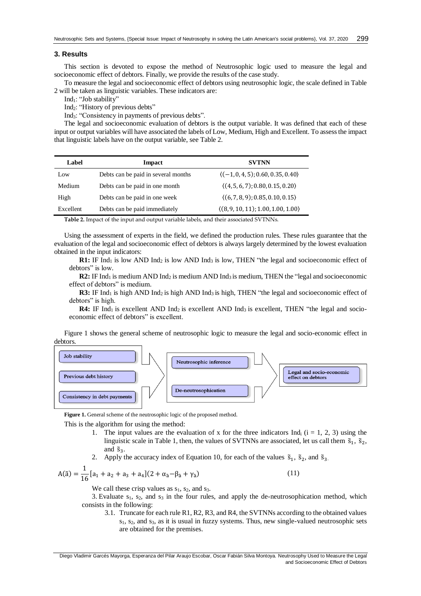## **3. Results**

This section is devoted to expose the method of Neutrosophic logic used to measure the legal and socioeconomic effect of debtors. Finally, we provide the results of the case study.

To measure the legal and socioeconomic effect of debtors using neutrosophic logic, the scale defined in Table 2 will be taken as linguistic variables. These indicators are:

Ind<sub>1</sub>: "Job stability"

Ind2: "History of previous debts"

Ind3: "Consistency in payments of previous debts".

The legal and socioeconomic evaluation of debtors is the output variable. It was defined that each of these input or output variables will have associated the labels of Low, Medium, High and Excellent. To assess the impact that linguistic labels have on the output variable, see Table 2.

| Label     | Impact                              | <b>SVTNN</b>                                      |  |  |
|-----------|-------------------------------------|---------------------------------------------------|--|--|
| Low       | Debts can be paid in several months | $\langle (-1, 0, 4, 5); 0.60, 0.35, 0.40 \rangle$ |  |  |
| Medium    | Debts can be paid in one month      | $(4, 5, 6, 7)$ ; 0.80, 0.15, 0.20)                |  |  |
| High      | Debts can be paid in one week       | $(6, 7, 8, 9)$ ; 0.85, 0.10, 0.15)                |  |  |
| Excellent | Debts can be paid immediately       | (8, 9, 10, 11); 1.00, 1.00, 1.00)                 |  |  |
| -----     |                                     |                                                   |  |  |

**Table 2.** Impact of the input and output variable labels, and their associated SVTNNs.

Using the assessment of experts in the field, we defined the production rules. These rules guarantee that the evaluation of the legal and socioeconomic effect of debtors is always largely determined by the lowest evaluation obtained in the input indicators:

**R1:** IF  $Ind_1$  is low AND  $Ind_2$  is low AND  $Ind_3$  is low, THEN "the legal and socioeconomic effect of debtors" is low.

**R2:** IF Ind<sub>1</sub> is medium AND Ind<sub>2</sub> is medium AND Ind<sub>3</sub> is medium, THEN the "legal and socioeconomic effect of debtors" is medium.

**R3:** IF Ind<sub>1</sub> is high AND Ind<sub>2</sub> is high AND Ind<sub>3</sub> is high, THEN "the legal and socioeconomic effect of debtors" is high.

**R4:** IF Ind<sub>1</sub> is excellent AND Ind<sub>2</sub> is excellent AND Ind<sub>3</sub> is excellent, THEN "the legal and socioeconomic effect of debtors" is excellent.

Figure 1 shows the general scheme of neutrosophic logic to measure the legal and socio-economic effect in debtors.



**Figure 1.** General scheme of the neutrosophic logic of the proposed method.

This is the algorithm for using the method:

- 1. The input values are the evaluation of x for the three indicators Ind<sub>i</sub>  $(i = 1, 2, 3)$  using the linguistic scale in Table 1, then, the values of SVTNNs are associated, let us call them  $\tilde{s}_1$ ,  $\tilde{s}_2$ , and  $\tilde{S}_3$ .
- 2. Apply the accuracy index of Equation 10, for each of the values  $\tilde{s}_1$ ,  $\tilde{s}_2$ , and  $\tilde{s}_3$ .

$$
A(\tilde{a}) = \frac{1}{16} [a_1 + a_2 + a_3 + a_4](2 + \alpha_{\tilde{a}} - \beta_{\tilde{a}} + \gamma_{\tilde{a}})
$$

We call these crisp values as  $s_1$ ,  $s_2$ , and  $s_3$ .

3. Evaluate  $s_1$ ,  $s_2$ , and  $s_3$  in the four rules, and apply the de-neutrosophication method, which consists in the following:

3.1. Truncate for each rule R1, R2, R3, and R4, the SVTNNs according to the obtained values  $s<sub>1</sub>$ ,  $s<sub>2</sub>$ , and  $s<sub>3</sub>$ , as it is usual in fuzzy systems. Thus, new single-valued neutrosophic sets are obtained for the premises.

) (11)

Diego Vladimir Garcés Mayorga, Esperanza del Pilar Araujo Escobar, Oscar Fabián Silva Montoya. Neutrosophy Used to Measure the Legal and Socioeconomic Effect of Debtors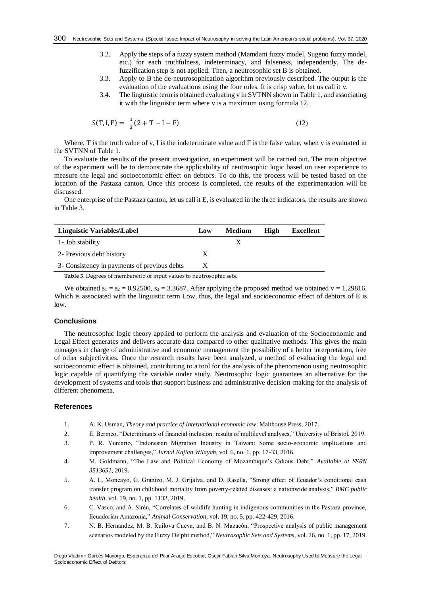- 3.2. Apply the steps of a fuzzy system method (Mamdani fuzzy model, Sugeno fuzzy model, etc.) for each truthfulness, indeterminacy, and falseness, independently. The defuzzification step is not applied. Then, a neutrosophic set B is obtained.
- 3.3. Apply to B the de-neutrosophication algorithm previously described. The output is the evaluation of the evaluations using the four rules. It is crisp value, let us call it v.
- 3.4. The linguistic term is obtained evaluating v in SVTNN shown in Table 1, and associating it with the linguistic term where v is a maximum using formula 12.

$$
S(T, I, F) = \frac{1}{3}(2 + T - I - F)
$$
 (12)

Where, T is the truth value of v, I is the indeterminate value and F is the false value, when v is evaluated in the SVTNN of Table 1.

To evaluate the results of the present investigation, an experiment will be carried out. The main objective of the experiment will be to demonstrate the applicability of neutrosophic logic based on user experience to measure the legal and socioeconomic effect on debtors. To do this, the process will be tested based on the location of the Pastaza canton. Once this process is completed, the results of the experimentation will be discussed.

One enterprise of the Pastaza canton, let us call it E, is evaluated in the three indicators, the results are shown in Table 3.

| Linguistic Variables\Label                   | Low | <b>Medium</b> | High | Excellent |
|----------------------------------------------|-----|---------------|------|-----------|
| 1 - Job stability                            |     |               |      |           |
| 2- Previous debt history                     | X   |               |      |           |
| 3- Consistency in payments of previous debts | X   |               |      |           |

**Table 3**. Degrees of membership of input values to neutrosophic sets.

We obtained  $s_1 = s_2 = 0.92500$ ,  $s_3 = 3.3687$ . After applying the proposed method we obtained  $v = 1.29816$ . Which is associated with the linguistic term Low, thus, the legal and socioeconomic effect of debtors of E is low.

# **Conclusions**

The neutrosophic logic theory applied to perform the analysis and evaluation of the Socioeconomic and Legal Effect generates and delivers accurate data compared to other qualitative methods. This gives the main managers in charge of administrative and economic management the possibility of a better interpretation, free of other subjectivities. Once the research results have been analyzed, a method of evaluating the legal and socioeconomic effect is obtained, contributing to a tool for the analysis of the phenomenon using neutrosophic logic capable of quantifying the variable under study. Neutrosophic logic guarantees an alternative for the development of systems and tools that support business and administrative decision-making for the analysis of different phenomena.

### **References**

- <span id="page-5-0"></span>1. A. K. Usman, *Theory and practice of International economic law*: Malthouse Press, 2017.
- <span id="page-5-1"></span>2. E. Bermeo, "Determinants of financial inclusion: results of multilevel analyses," University of Bristol, 2019.
- <span id="page-5-2"></span>3. P. R. Yuniarto, "Indonesian Migration Industry in Taiwan: Some socio-economic implications and improvement challenges," *Jurnal Kajian Wilayah,* vol. 6, no. 1, pp. 17-33, 2016.
- <span id="page-5-3"></span>4. M. Goldmann, "The Law and Political Economy of Mozambique's Odious Debt," *Available at SSRN 3513651*, 2019.
- <span id="page-5-4"></span>5. A. L. Moncayo, G. Granizo, M. J. Grijalva, and D. Rasella, "Strong effect of Ecuador's conditional cash transfer program on childhood mortality from poverty-related diseases: a nationwide analysis," *BMC public health,* vol. 19, no. 1, pp. 1132, 2019.
- 6. C. Vasco, and A. Sirén, "Correlates of wildlife hunting in indigenous communities in the Pastaza province, Ecuadorian Amazonia," *Animal Conservation,* vol. 19, no. 5, pp. 422-429, 2016.
- 7. N. B. Hernandez, M. B. Ruilova Cueva, and B. N. Mazacón, "Prospective analysis of public management scenarios modeled by the Fuzzy Delphi method," *Neutrosophic Sets and Systems,* vol. 26, no. 1, pp. 17, 2019.